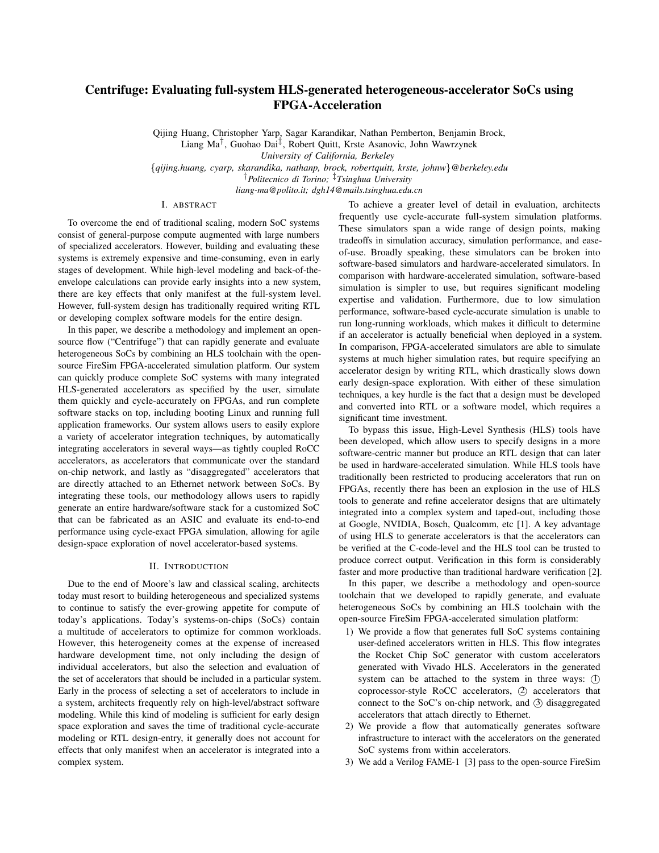# Centrifuge: Evaluating full-system HLS-generated heterogeneous-accelerator SoCs using FPGA-Acceleration

Qijing Huang, Christopher Yarp, Sagar Karandikar, Nathan Pemberton, Benjamin Brock, Liang Ma<sup>†</sup>, Guohao Dai<sup>‡</sup>, Robert Quitt, Krste Asanovic, John Wawrzynek *University of California, Berkeley*

{*qijing.huang, cyarp, skarandika, nathanp, brock, robertquitt, krste, johnw*}*@berkeley.edu* †*Politecnico di Torino;* ‡*Tsinghua University*

*liang-ma@polito.it; dgh14@mails.tsinghua.edu.cn*

## I. ABSTRACT

To overcome the end of traditional scaling, modern SoC systems consist of general-purpose compute augmented with large numbers of specialized accelerators. However, building and evaluating these systems is extremely expensive and time-consuming, even in early stages of development. While high-level modeling and back-of-theenvelope calculations can provide early insights into a new system, there are key effects that only manifest at the full-system level. However, full-system design has traditionally required writing RTL or developing complex software models for the entire design.

In this paper, we describe a methodology and implement an opensource flow ("Centrifuge") that can rapidly generate and evaluate heterogeneous SoCs by combining an HLS toolchain with the opensource FireSim FPGA-accelerated simulation platform. Our system can quickly produce complete SoC systems with many integrated HLS-generated accelerators as specified by the user, simulate them quickly and cycle-accurately on FPGAs, and run complete software stacks on top, including booting Linux and running full application frameworks. Our system allows users to easily explore a variety of accelerator integration techniques, by automatically integrating accelerators in several ways—as tightly coupled RoCC accelerators, as accelerators that communicate over the standard on-chip network, and lastly as "disaggregated" accelerators that are directly attached to an Ethernet network between SoCs. By integrating these tools, our methodology allows users to rapidly generate an entire hardware/software stack for a customized SoC that can be fabricated as an ASIC and evaluate its end-to-end performance using cycle-exact FPGA simulation, allowing for agile design-space exploration of novel accelerator-based systems.

#### II. INTRODUCTION

Due to the end of Moore's law and classical scaling, architects today must resort to building heterogeneous and specialized systems to continue to satisfy the ever-growing appetite for compute of today's applications. Today's systems-on-chips (SoCs) contain a multitude of accelerators to optimize for common workloads. However, this heterogeneity comes at the expense of increased hardware development time, not only including the design of individual accelerators, but also the selection and evaluation of the set of accelerators that should be included in a particular system. Early in the process of selecting a set of accelerators to include in a system, architects frequently rely on high-level/abstract software modeling. While this kind of modeling is sufficient for early design space exploration and saves the time of traditional cycle-accurate modeling or RTL design-entry, it generally does not account for effects that only manifest when an accelerator is integrated into a complex system.

To achieve a greater level of detail in evaluation, architects frequently use cycle-accurate full-system simulation platforms. These simulators span a wide range of design points, making tradeoffs in simulation accuracy, simulation performance, and easeof-use. Broadly speaking, these simulators can be broken into software-based simulators and hardware-accelerated simulators. In comparison with hardware-accelerated simulation, software-based simulation is simpler to use, but requires significant modeling expertise and validation. Furthermore, due to low simulation performance, software-based cycle-accurate simulation is unable to run long-running workloads, which makes it difficult to determine if an accelerator is actually beneficial when deployed in a system. In comparison, FPGA-accelerated simulators are able to simulate systems at much higher simulation rates, but require specifying an accelerator design by writing RTL, which drastically slows down early design-space exploration. With either of these simulation techniques, a key hurdle is the fact that a design must be developed and converted into RTL or a software model, which requires a significant time investment.

To bypass this issue, High-Level Synthesis (HLS) tools have been developed, which allow users to specify designs in a more software-centric manner but produce an RTL design that can later be used in hardware-accelerated simulation. While HLS tools have traditionally been restricted to producing accelerators that run on FPGAs, recently there has been an explosion in the use of HLS tools to generate and refine accelerator designs that are ultimately integrated into a complex system and taped-out, including those at Google, NVIDIA, Bosch, Qualcomm, etc [1]. A key advantage of using HLS to generate accelerators is that the accelerators can be verified at the C-code-level and the HLS tool can be trusted to produce correct output. Verification in this form is considerably faster and more productive than traditional hardware verification [2].

In this paper, we describe a methodology and open-source toolchain that we developed to rapidly generate, and evaluate heterogeneous SoCs by combining an HLS toolchain with the open-source FireSim FPGA-accelerated simulation platform:

- 1) We provide a flow that generates full SoC systems containing user-defined accelerators written in HLS. This flow integrates the Rocket Chip SoC generator with custom accelerators generated with Vivado HLS. Accelerators in the generated system can be attached to the system in three ways: (I) coprocessor-style RoCC accelerators, 2 accelerators that connect to the SoC's on-chip network, and 3 disaggregated accelerators that attach directly to Ethernet.
- 2) We provide a flow that automatically generates software infrastructure to interact with the accelerators on the generated SoC systems from within accelerators.
- 3) We add a Verilog FAME-1 [3] pass to the open-source FireSim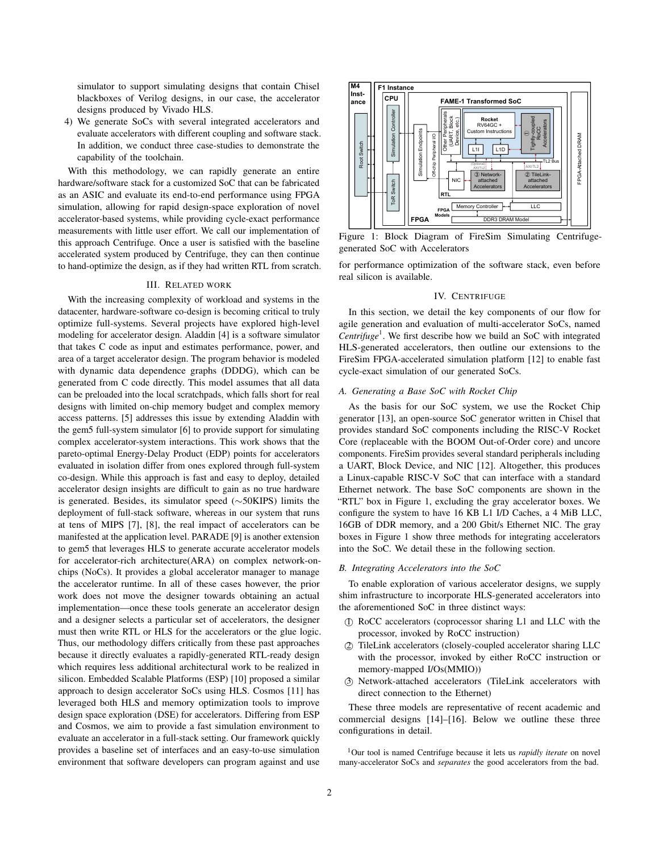simulator to support simulating designs that contain Chisel blackboxes of Verilog designs, in our case, the accelerator designs produced by Vivado HLS.

4) We generate SoCs with several integrated accelerators and evaluate accelerators with different coupling and software stack. In addition, we conduct three case-studies to demonstrate the capability of the toolchain.

With this methodology, we can rapidly generate an entire hardware/software stack for a customized SoC that can be fabricated as an ASIC and evaluate its end-to-end performance using FPGA simulation, allowing for rapid design-space exploration of novel accelerator-based systems, while providing cycle-exact performance measurements with little user effort. We call our implementation of this approach Centrifuge. Once a user is satisfied with the baseline accelerated system produced by Centrifuge, they can then continue to hand-optimize the design, as if they had written RTL from scratch.

## III. RELATED WORK

With the increasing complexity of workload and systems in the datacenter, hardware-software co-design is becoming critical to truly optimize full-systems. Several projects have explored high-level modeling for accelerator design. Aladdin [4] is a software simulator that takes C code as input and estimates performance, power, and area of a target accelerator design. The program behavior is modeled with dynamic data dependence graphs (DDDG), which can be generated from C code directly. This model assumes that all data can be preloaded into the local scratchpads, which falls short for real designs with limited on-chip memory budget and complex memory access patterns. [5] addresses this issue by extending Aladdin with the gem5 full-system simulator [6] to provide support for simulating complex accelerator-system interactions. This work shows that the pareto-optimal Energy-Delay Product (EDP) points for accelerators evaluated in isolation differ from ones explored through full-system co-design. While this approach is fast and easy to deploy, detailed accelerator design insights are difficult to gain as no true hardware is generated. Besides, its simulator speed (∼50KIPS) limits the deployment of full-stack software, whereas in our system that runs at tens of MIPS [7], [8], the real impact of accelerators can be manifested at the application level. PARADE [9] is another extension to gem5 that leverages HLS to generate accurate accelerator models for accelerator-rich architecture(ARA) on complex network-onchips (NoCs). It provides a global accelerator manager to manage the accelerator runtime. In all of these cases however, the prior work does not move the designer towards obtaining an actual implementation—once these tools generate an accelerator design and a designer selects a particular set of accelerators, the designer must then write RTL or HLS for the accelerators or the glue logic. Thus, our methodology differs critically from these past approaches because it directly evaluates a rapidly-generated RTL-ready design which requires less additional architectural work to be realized in silicon. Embedded Scalable Platforms (ESP) [10] proposed a similar approach to design accelerator SoCs using HLS. Cosmos [11] has leveraged both HLS and memory optimization tools to improve design space exploration (DSE) for accelerators. Differing from ESP and Cosmos, we aim to provide a fast simulation environment to evaluate an accelerator in a full-stack setting. Our framework quickly provides a baseline set of interfaces and an easy-to-use simulation environment that software developers can program against and use



Figure 1: Block Diagram of FireSim Simulating Centrifugegenerated SoC with Accelerators

for performance optimization of the software stack, even before real silicon is available.

## IV. CENTRIFUGE

In this section, we detail the key components of our flow for agile generation and evaluation of multi-accelerator SoCs, named *Centrifuge*<sup>1</sup> . We first describe how we build an SoC with integrated HLS-generated accelerators, then outline our extensions to the FireSim FPGA-accelerated simulation platform [12] to enable fast cycle-exact simulation of our generated SoCs.

#### *A. Generating a Base SoC with Rocket Chip*

As the basis for our SoC system, we use the Rocket Chip generator [13], an open-source SoC generator written in Chisel that provides standard SoC components including the RISC-V Rocket Core (replaceable with the BOOM Out-of-Order core) and uncore components. FireSim provides several standard peripherals including a UART, Block Device, and NIC [12]. Altogether, this produces a Linux-capable RISC-V SoC that can interface with a standard Ethernet network. The base SoC components are shown in the "RTL" box in Figure 1, excluding the gray accelerator boxes. We configure the system to have 16 KB L1 I/D Caches, a 4 MiB LLC, 16GB of DDR memory, and a 200 Gbit/s Ethernet NIC. The gray boxes in Figure 1 show three methods for integrating accelerators into the SoC. We detail these in the following section.

#### *B. Integrating Accelerators into the SoC*

To enable exploration of various accelerator designs, we supply shim infrastructure to incorporate HLS-generated accelerators into the aforementioned SoC in three distinct ways:

- 1 RoCC accelerators (coprocessor sharing L1 and LLC with the processor, invoked by RoCC instruction)
- 2 TileLink accelerators (closely-coupled accelerator sharing LLC with the processor, invoked by either RoCC instruction or memory-mapped I/Os(MMIO))
- 3 Network-attached accelerators (TileLink accelerators with direct connection to the Ethernet)

These three models are representative of recent academic and commercial designs [14]–[16]. Below we outline these three configurations in detail.

<sup>1</sup>Our tool is named Centrifuge because it lets us *rapidly iterate* on novel many-accelerator SoCs and *separates* the good accelerators from the bad.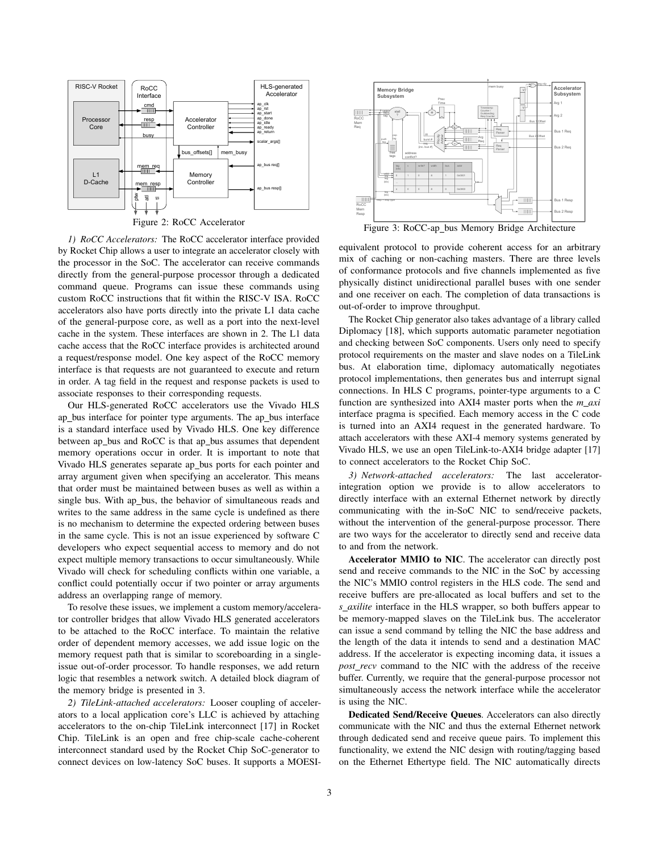

*1) RoCC Accelerators:* The RoCC accelerator interface provided by Rocket Chip allows a user to integrate an accelerator closely with the processor in the SoC. The accelerator can receive commands directly from the general-purpose processor through a dedicated command queue. Programs can issue these commands using custom RoCC instructions that fit within the RISC-V ISA. RoCC accelerators also have ports directly into the private L1 data cache of the general-purpose core, as well as a port into the next-level cache in the system. These interfaces are shown in 2. The L1 data cache access that the RoCC interface provides is architected around a request/response model. One key aspect of the RoCC memory interface is that requests are not guaranteed to execute and return in order. A tag field in the request and response packets is used to associate responses to their corresponding requests.

Our HLS-generated RoCC accelerators use the Vivado HLS ap bus interface for pointer type arguments. The ap bus interface is a standard interface used by Vivado HLS. One key difference between ap bus and RoCC is that ap bus assumes that dependent memory operations occur in order. It is important to note that Vivado HLS generates separate ap bus ports for each pointer and array argument given when specifying an accelerator. This means that order must be maintained between buses as well as within a single bus. With ap bus, the behavior of simultaneous reads and writes to the same address in the same cycle is undefined as there is no mechanism to determine the expected ordering between buses in the same cycle. This is not an issue experienced by software C developers who expect sequential access to memory and do not expect multiple memory transactions to occur simultaneously. While Vivado will check for scheduling conflicts within one variable, a conflict could potentially occur if two pointer or array arguments address an overlapping range of memory.

To resolve these issues, we implement a custom memory/accelerator controller bridges that allow Vivado HLS generated accelerators to be attached to the RoCC interface. To maintain the relative order of dependent memory accesses, we add issue logic on the memory request path that is similar to scoreboarding in a singleissue out-of-order processor. To handle responses, we add return logic that resembles a network switch. A detailed block diagram of the memory bridge is presented in 3.

*2) TileLink-attached accelerators:* Looser coupling of accelerators to a local application core's LLC is achieved by attaching accelerators to the on-chip TileLink interconnect [17] in Rocket Chip. TileLink is an open and free chip-scale cache-coherent interconnect standard used by the Rocket Chip SoC-generator to connect devices on low-latency SoC buses. It supports a MOESI-



equivalent protocol to provide coherent access for an arbitrary mix of caching or non-caching masters. There are three levels of conformance protocols and five channels implemented as five physically distinct unidirectional parallel buses with one sender and one receiver on each. The completion of data transactions is out-of-order to improve throughput.

The Rocket Chip generator also takes advantage of a library called Diplomacy [18], which supports automatic parameter negotiation and checking between SoC components. Users only need to specify protocol requirements on the master and slave nodes on a TileLink bus. At elaboration time, diplomacy automatically negotiates protocol implementations, then generates bus and interrupt signal connections. In HLS C programs, pointer-type arguments to a C function are synthesized into AXI4 master ports when the  $m$ <sub>*axi*</sub> interface pragma is specified. Each memory access in the C code is turned into an AXI4 request in the generated hardware. To attach accelerators with these AXI-4 memory systems generated by Vivado HLS, we use an open TileLink-to-AXI4 bridge adapter [17] to connect accelerators to the Rocket Chip SoC.

*3) Network-attached accelerators:* The last acceleratorintegration option we provide is to allow accelerators to directly interface with an external Ethernet network by directly communicating with the in-SoC NIC to send/receive packets, without the intervention of the general-purpose processor. There are two ways for the accelerator to directly send and receive data to and from the network.

Accelerator MMIO to NIC. The accelerator can directly post send and receive commands to the NIC in the SoC by accessing the NIC's MMIO control registers in the HLS code. The send and receive buffers are pre-allocated as local buffers and set to the *s axilite* interface in the HLS wrapper, so both buffers appear to be memory-mapped slaves on the TileLink bus. The accelerator can issue a send command by telling the NIC the base address and the length of the data it intends to send and a destination MAC address. If the accelerator is expecting incoming data, it issues a *post recv* command to the NIC with the address of the receive buffer. Currently, we require that the general-purpose processor not simultaneously access the network interface while the accelerator is using the NIC.

Dedicated Send/Receive Queues. Accelerators can also directly communicate with the NIC and thus the external Ethernet network through dedicated send and receive queue pairs. To implement this functionality, we extend the NIC design with routing/tagging based on the Ethernet Ethertype field. The NIC automatically directs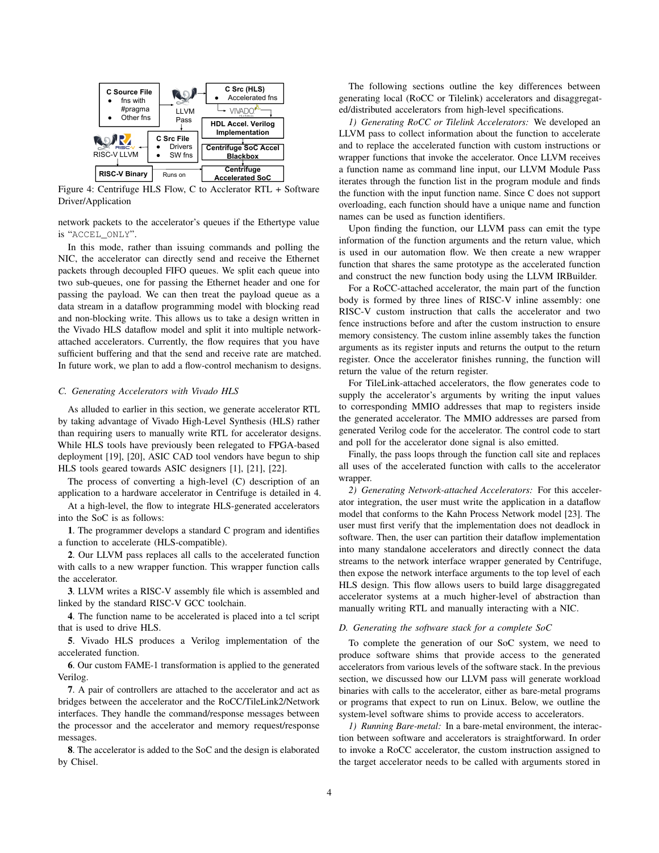

Figure 4: Centrifuge HLS Flow, C to Acclerator RTL + Software Driver/Application

network packets to the accelerator's queues if the Ethertype value is "ACCEL\_ONLY".

In this mode, rather than issuing commands and polling the NIC, the accelerator can directly send and receive the Ethernet packets through decoupled FIFO queues. We split each queue into two sub-queues, one for passing the Ethernet header and one for passing the payload. We can then treat the payload queue as a data stream in a dataflow programming model with blocking read and non-blocking write. This allows us to take a design written in the Vivado HLS dataflow model and split it into multiple networkattached accelerators. Currently, the flow requires that you have sufficient buffering and that the send and receive rate are matched. In future work, we plan to add a flow-control mechanism to designs.

#### *C. Generating Accelerators with Vivado HLS*

As alluded to earlier in this section, we generate accelerator RTL by taking advantage of Vivado High-Level Synthesis (HLS) rather than requiring users to manually write RTL for accelerator designs. While HLS tools have previously been relegated to FPGA-based deployment [19], [20], ASIC CAD tool vendors have begun to ship HLS tools geared towards ASIC designers [1], [21], [22].

The process of converting a high-level (C) description of an application to a hardware accelerator in Centrifuge is detailed in 4.

At a high-level, the flow to integrate HLS-generated accelerators into the SoC is as follows:

1. The programmer develops a standard C program and identifies a function to accelerate (HLS-compatible).

2. Our LLVM pass replaces all calls to the accelerated function with calls to a new wrapper function. This wrapper function calls the accelerator.

3. LLVM writes a RISC-V assembly file which is assembled and linked by the standard RISC-V GCC toolchain.

4. The function name to be accelerated is placed into a tcl script that is used to drive HLS.

5. Vivado HLS produces a Verilog implementation of the accelerated function.

6. Our custom FAME-1 transformation is applied to the generated Verilog.

7. A pair of controllers are attached to the accelerator and act as bridges between the accelerator and the RoCC/TileLink2/Network interfaces. They handle the command/response messages between the processor and the accelerator and memory request/response messages.

8. The accelerator is added to the SoC and the design is elaborated by Chisel.

The following sections outline the key differences between generating local (RoCC or Tilelink) accelerators and disaggregated/distributed accelerators from high-level specifications.

*1) Generating RoCC or Tilelink Accelerators:* We developed an LLVM pass to collect information about the function to accelerate and to replace the accelerated function with custom instructions or wrapper functions that invoke the accelerator. Once LLVM receives a function name as command line input, our LLVM Module Pass iterates through the function list in the program module and finds the function with the input function name. Since C does not support overloading, each function should have a unique name and function names can be used as function identifiers.

Upon finding the function, our LLVM pass can emit the type information of the function arguments and the return value, which is used in our automation flow. We then create a new wrapper function that shares the same prototype as the accelerated function and construct the new function body using the LLVM IRBuilder.

For a RoCC-attached accelerator, the main part of the function body is formed by three lines of RISC-V inline assembly: one RISC-V custom instruction that calls the accelerator and two fence instructions before and after the custom instruction to ensure memory consistency. The custom inline assembly takes the function arguments as its register inputs and returns the output to the return register. Once the accelerator finishes running, the function will return the value of the return register.

For TileLink-attached accelerators, the flow generates code to supply the accelerator's arguments by writing the input values to corresponding MMIO addresses that map to registers inside the generated accelerator. The MMIO addresses are parsed from generated Verilog code for the accelerator. The control code to start and poll for the accelerator done signal is also emitted.

Finally, the pass loops through the function call site and replaces all uses of the accelerated function with calls to the accelerator wrapper.

*2) Generating Network-attached Accelerators:* For this accelerator integration, the user must write the application in a dataflow model that conforms to the Kahn Process Network model [23]. The user must first verify that the implementation does not deadlock in software. Then, the user can partition their dataflow implementation into many standalone accelerators and directly connect the data streams to the network interface wrapper generated by Centrifuge, then expose the network interface arguments to the top level of each HLS design. This flow allows users to build large disaggregated accelerator systems at a much higher-level of abstraction than manually writing RTL and manually interacting with a NIC.

#### *D. Generating the software stack for a complete SoC*

To complete the generation of our SoC system, we need to produce software shims that provide access to the generated accelerators from various levels of the software stack. In the previous section, we discussed how our LLVM pass will generate workload binaries with calls to the accelerator, either as bare-metal programs or programs that expect to run on Linux. Below, we outline the system-level software shims to provide access to accelerators.

*1) Running Bare-metal:* In a bare-metal environment, the interaction between software and accelerators is straightforward. In order to invoke a RoCC accelerator, the custom instruction assigned to the target accelerator needs to be called with arguments stored in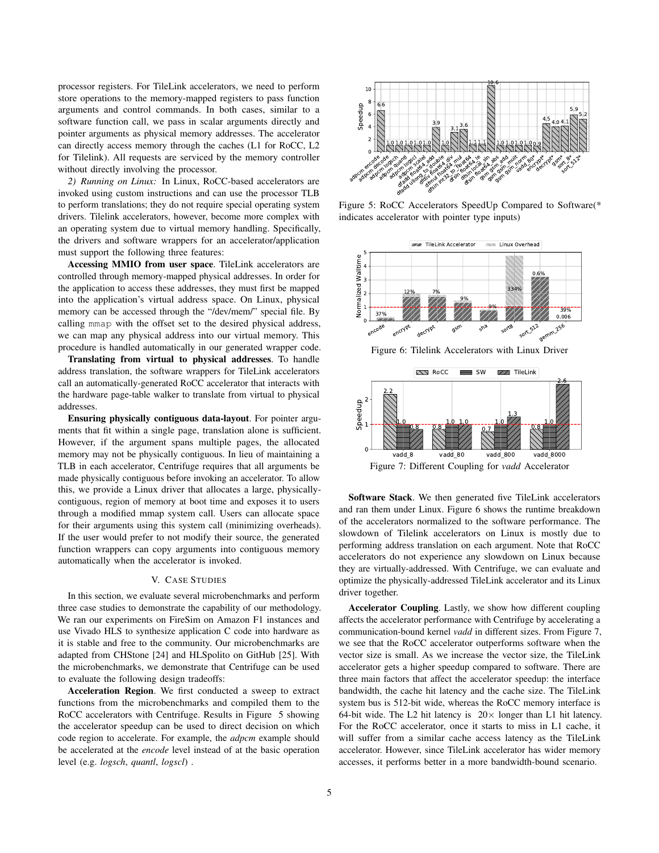processor registers. For TileLink accelerators, we need to perform store operations to the memory-mapped registers to pass function arguments and control commands. In both cases, similar to a software function call, we pass in scalar arguments directly and pointer arguments as physical memory addresses. The accelerator can directly access memory through the caches (L1 for RoCC, L2 for Tilelink). All requests are serviced by the memory controller without directly involving the processor.

*2) Running on Linux:* In Linux, RoCC-based accelerators are invoked using custom instructions and can use the processor TLB to perform translations; they do not require special operating system drivers. Tilelink accelerators, however, become more complex with an operating system due to virtual memory handling. Specifically, the drivers and software wrappers for an accelerator/application must support the following three features:

Accessing MMIO from user space. TileLink accelerators are controlled through memory-mapped physical addresses. In order for the application to access these addresses, they must first be mapped into the application's virtual address space. On Linux, physical memory can be accessed through the "/dev/mem/" special file. By calling mmap with the offset set to the desired physical address, we can map any physical address into our virtual memory. This procedure is handled automatically in our generated wrapper code.

Translating from virtual to physical addresses. To handle address translation, the software wrappers for TileLink accelerators call an automatically-generated RoCC accelerator that interacts with the hardware page-table walker to translate from virtual to physical addresses.

Ensuring physically contiguous data-layout. For pointer arguments that fit within a single page, translation alone is sufficient. However, if the argument spans multiple pages, the allocated memory may not be physically contiguous. In lieu of maintaining a TLB in each accelerator, Centrifuge requires that all arguments be made physically contiguous before invoking an accelerator. To allow this, we provide a Linux driver that allocates a large, physicallycontiguous, region of memory at boot time and exposes it to users through a modified mmap system call. Users can allocate space for their arguments using this system call (minimizing overheads). If the user would prefer to not modify their source, the generated function wrappers can copy arguments into contiguous memory automatically when the accelerator is invoked. level (term) and the section of the section of the section of the section of *L*ogical schemes the section of *Logical* and controlling the section of *Logical* and the property and *quantigary* and *quantigary* is the pr

### V. CASE STUDIES

In this section, we evaluate several microbenchmarks and perform three case studies to demonstrate the capability of our methodology. We ran our experiments on FireSim on Amazon F1 instances and use Vivado HLS to synthesize application C code into hardware as it is stable and free to the community. Our microbenchmarks are adapted from CHStone [24] and HLSpolito on GitHub [25]. With the microbenchmarks, we demonstrate that Centrifuge can be used to evaluate the following design tradeoffs:

Acceleration Region. We first conducted a sweep to extract functions from the microbenchmarks and compiled them to the RoCC accelerators with Centrifuge. Results in Figure 5 showing the accelerator speedup can be used to direct decision on which code region to accelerate. For example, the *adpcm* example should be accelerated at the *encode* level instead of at the basic operation



Figure 5: RoCC Accelerators SpeedUp Compared to Software(\* indicates accelerator with pointer type inputs)



Figure 6: Tilelink Accelerators with Linux Driver



Software Stack. We then generated five TileLink accelerators and ran them under Linux. Figure 6 shows the runtime breakdown of the accelerators normalized to the software performance. The slowdown of Tilelink accelerators on Linux is mostly due to performing address translation on each argument. Note that RoCC accelerators do not experience any slowdown on Linux because they are virtually-addressed. With Centrifuge, we can evaluate and optimize the physically-addressed TileLink accelerator and its Linux driver together.

Accelerator Coupling. Lastly, we show how different coupling affects the accelerator performance with Centrifuge by accelerating a communication-bound kernel *vadd* in different sizes. From Figure 7, we see that the RoCC accelerator outperforms software when the vector size is small. As we increase the vector size, the TileLink accelerator gets a higher speedup compared to software. There are three main factors that affect the accelerator speedup: the interface bandwidth, the cache hit latency and the cache size. The TileLink system bus is 512-bit wide, whereas the RoCC memory interface is 64-bit wide. The L2 hit latency is  $20 \times$  longer than L1 hit latency. For the RoCC accelerator, once it starts to miss in L1 cache, it will suffer from a similar cache access latency as the TileLink accelerator. However, since TileLink accelerator has wider memory accesses, it performs better in a more bandwidth-bound scenario.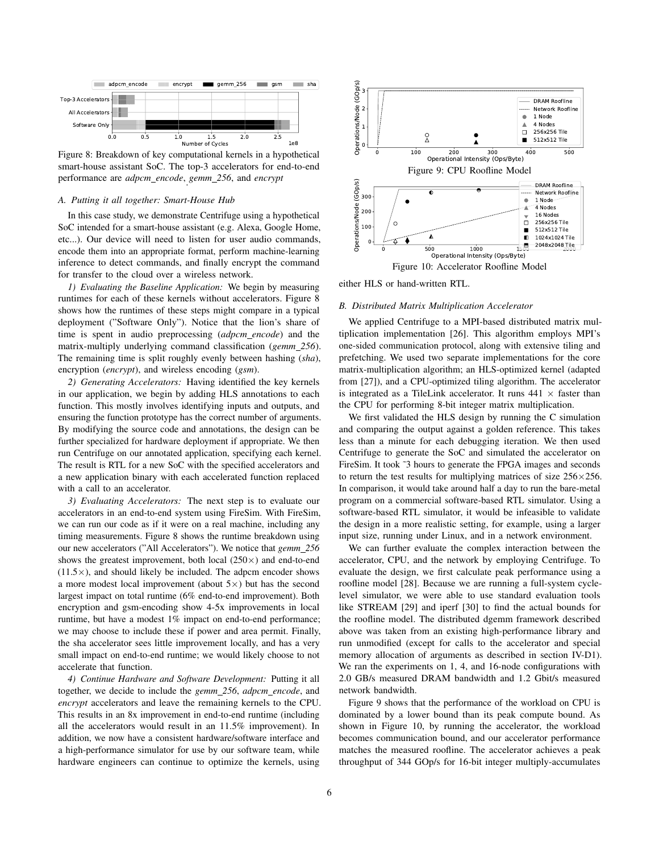

Figure 8: Breakdown of key computational kernels in a hypothetical smart-house assistant SoC. The top-3 accelerators for end-to-end performance are *adpcm encode*, *gemm 256*, and *encrypt* .

#### *A. Putting it all together: Smart-House Hub*

In this case study, we demonstrate Centrifuge using a hypothetical SoC intended for a smart-house assistant (e.g. Alexa, Google Home, etc...). Our device will need to listen for user audio commands, encode them into an appropriate format, perform machine-learning inference to detect commands, and finally encrypt the command for transfer to the cloud over a wireless network.

*1) Evaluating the Baseline Application:* We begin by measuring runtimes for each of these kernels without accelerators. Figure 8 shows how the runtimes of these steps might compare in a typical deployment ("Software Only"). Notice that the lion's share of time is spent in audio preprocessing (*adpcm encode*) and the matrix-multiply underlying command classification (*gemm 256*). The remaining time is split roughly evenly between hashing (*sha*), encryption (*encrypt*), and wireless encoding (*gsm*).

*2) Generating Accelerators:* Having identified the key kernels in our application, we begin by adding HLS annotations to each function. This mostly involves identifying inputs and outputs, and ensuring the function prototype has the correct number of arguments. By modifying the source code and annotations, the design can be further specialized for hardware deployment if appropriate. We then run Centrifuge on our annotated application, specifying each kernel. The result is RTL for a new SoC with the specified accelerators and a new application binary with each accelerated function replaced with a call to an accelerator.

*3) Evaluating Accelerators:* The next step is to evaluate our accelerators in an end-to-end system using FireSim. With FireSim, we can run our code as if it were on a real machine, including any timing measurements. Figure 8 shows the runtime breakdown using our new accelerators ("All Accelerators"). We notice that *gemm 256* shows the greatest improvement, both local  $(250\times)$  and end-to-end  $(11.5\times)$ , and should likely be included. The adpcm encoder shows a more modest local improvement (about  $5 \times$ ) but has the second largest impact on total runtime (6% end-to-end improvement). Both encryption and gsm-encoding show 4-5x improvements in local runtime, but have a modest 1% impact on end-to-end performance; we may choose to include these if power and area permit. Finally, the sha accelerator sees little improvement locally, and has a very small impact on end-to-end runtime; we would likely choose to not accelerate that function.

*4) Continue Hardware and Software Development:* Putting it all together, we decide to include the *gemm 256*, *adpcm encode*, and *encrypt* accelerators and leave the remaining kernels to the CPU. This results in an 8x improvement in end-to-end runtime (including all the accelerators would result in an 11.5% improvement). In addition, we now have a consistent hardware/software interface and a high-performance simulator for use by our software team, while hardware engineers can continue to optimize the kernels, using



either HLS or hand-written RTL.

# *B. Distributed Matrix Multiplication Accelerator*

We applied Centrifuge to a MPI-based distributed matrix multiplication implementation [26]. This algorithm employs MPI's one-sided communication protocol, along with extensive tiling and prefetching. We used two separate implementations for the core matrix-multiplication algorithm; an HLS-optimized kernel (adapted from [27]), and a CPU-optimized tiling algorithm. The accelerator is integrated as a TileLink accelerator. It runs  $441 \times$  faster than the CPU for performing 8-bit integer matrix multiplication.

We first validated the HLS design by running the C simulation and comparing the output against a golden reference. This takes less than a minute for each debugging iteration. We then used Centrifuge to generate the SoC and simulated the accelerator on FireSim. It took ~3 hours to generate the FPGA images and seconds to return the test results for multiplying matrices of size  $256 \times 256$ . In comparison, it would take around half a day to run the bare-metal program on a commercial software-based RTL simulator. Using a software-based RTL simulator, it would be infeasible to validate the design in a more realistic setting, for example, using a larger input size, running under Linux, and in a network environment.

We can further evaluate the complex interaction between the accelerator, CPU, and the network by employing Centrifuge. To evaluate the design, we first calculate peak performance using a roofline model [28]. Because we are running a full-system cyclelevel simulator, we were able to use standard evaluation tools like STREAM [29] and iperf [30] to find the actual bounds for the roofline model. The distributed dgemm framework described above was taken from an existing high-performance library and run unmodified (except for calls to the accelerator and special memory allocation of arguments as described in section IV-D1). We ran the experiments on 1, 4, and 16-node configurations with 2.0 GB/s measured DRAM bandwidth and 1.2 Gbit/s measured network bandwidth.

Figure 9 shows that the performance of the workload on CPU is dominated by a lower bound than its peak compute bound. As shown in Figure 10, by running the accelerator, the workload becomes communication bound, and our accelerator performance matches the measured roofline. The accelerator achieves a peak throughput of 344 GOp/s for 16-bit integer multiply-accumulates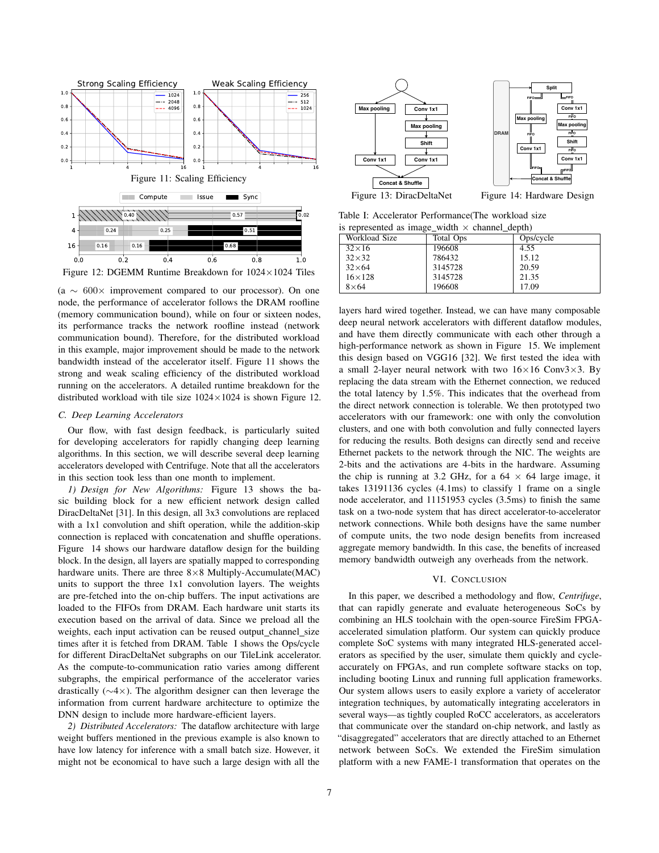

Figure 12: DGEMM Runtime Breakdown for 1024×1024 Tiles

(a ∼ 600× improvement compared to our processor). On one node, the performance of accelerator follows the DRAM roofline (memory communication bound), while on four or sixteen nodes, its performance tracks the network roofline instead (network communication bound). Therefore, for the distributed workload in this example, major improvement should be made to the network bandwidth instead of the accelerator itself. Figure 11 shows the strong and weak scaling efficiency of the distributed workload running on the accelerators. A detailed runtime breakdown for the distributed workload with tile size  $1024 \times 1024$  is shown Figure 12.

## *C. Deep Learning Accelerators*

Our flow, with fast design feedback, is particularly suited for developing accelerators for rapidly changing deep learning algorithms. In this section, we will describe several deep learning accelerators developed with Centrifuge. Note that all the accelerators in this section took less than one month to implement.

*1) Design for New Algorithms:* Figure 13 shows the basic building block for a new efficient network design called DiracDeltaNet [31]. In this design, all 3x3 convolutions are replaced with a 1x1 convolution and shift operation, while the addition-skip connection is replaced with concatenation and shuffle operations. Figure 14 shows our hardware dataflow design for the building block. In the design, all layers are spatially mapped to corresponding hardware units. There are three  $8\times 8$  Multiply-Accumulate(MAC) units to support the three 1x1 convolution layers. The weights are pre-fetched into the on-chip buffers. The input activations are loaded to the FIFOs from DRAM. Each hardware unit starts its execution based on the arrival of data. Since we preload all the weights, each input activation can be reused output channel size times after it is fetched from DRAM. Table I shows the Ops/cycle for different DiracDeltaNet subgraphs on our TileLink accelerator. As the compute-to-communication ratio varies among different subgraphs, the empirical performance of the accelerator varies drastically (∼4×). The algorithm designer can then leverage the information from current hardware architecture to optimize the DNN design to include more hardware-efficient layers.

*2) Distributed Accelerators:* The dataflow architecture with large weight buffers mentioned in the previous example is also known to have low latency for inference with a small batch size. However, it might not be economical to have such a large design with all the



Table I: Accelerator Performance(The workload size is represented as image width  $\times$  channel depth)

| $\mu$ represented as image widen $\lambda$ enanner depth. |           |           |
|-----------------------------------------------------------|-----------|-----------|
| Workload Size                                             | Total Ops | Ops/cycle |
| $32\times16$                                              | 196608    | 4.55      |
| $32\times32$                                              | 786432    | 15.12     |
| $32\times 64$                                             | 3145728   | 20.59     |
| $16 \times 128$                                           | 3145728   | 21.35     |
| $8\times 64$                                              | 196608    | 17.09     |

layers hard wired together. Instead, we can have many composable deep neural network accelerators with different dataflow modules, and have them directly communicate with each other through a high-performance network as shown in Figure 15. We implement this design based on VGG16 [32]. We first tested the idea with a small 2-layer neural network with two  $16 \times 16$  Conv3 $\times$ 3. By replacing the data stream with the Ethernet connection, we reduced the total latency by 1.5%. This indicates that the overhead from the direct network connection is tolerable. We then prototyped two accelerators with our framework: one with only the convolution clusters, and one with both convolution and fully connected layers for reducing the results. Both designs can directly send and receive Ethernet packets to the network through the NIC. The weights are 2-bits and the activations are 4-bits in the hardware. Assuming the chip is running at 3.2 GHz, for a  $64 \times 64$  large image, it takes 13191136 cycles (4.1ms) to classify 1 frame on a single node accelerator, and 11151953 cycles (3.5ms) to finish the same task on a two-node system that has direct accelerator-to-accelerator network connections. While both designs have the same number of compute units, the two node design benefits from increased aggregate memory bandwidth. In this case, the benefits of increased memory bandwidth outweigh any overheads from the network.

### VI. CONCLUSION

In this paper, we described a methodology and flow, *Centrifuge*, that can rapidly generate and evaluate heterogeneous SoCs by combining an HLS toolchain with the open-source FireSim FPGAaccelerated simulation platform. Our system can quickly produce complete SoC systems with many integrated HLS-generated accelerators as specified by the user, simulate them quickly and cycleaccurately on FPGAs, and run complete software stacks on top, including booting Linux and running full application frameworks. Our system allows users to easily explore a variety of accelerator integration techniques, by automatically integrating accelerators in several ways—as tightly coupled RoCC accelerators, as accelerators that communicate over the standard on-chip network, and lastly as "disaggregated" accelerators that are directly attached to an Ethernet network between SoCs. We extended the FireSim simulation platform with a new FAME-1 transformation that operates on the